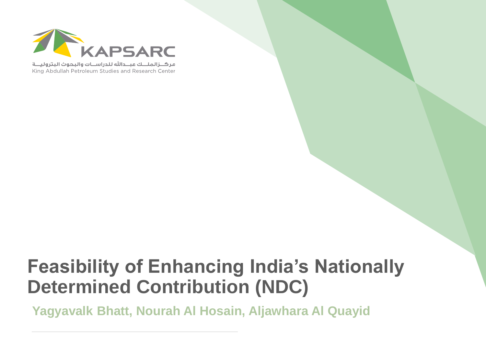

مركــزالملـــك عبـــدالله للدراســات والبحوث البتروليـــة King Abdullah Petroleum Studies and Research Center

# **Feasibility of Enhancing India's Nationally Determined Contribution (NDC)**

**Yagyavalk Bhatt, Nourah Al Hosain, Aljawhara Al Quayid**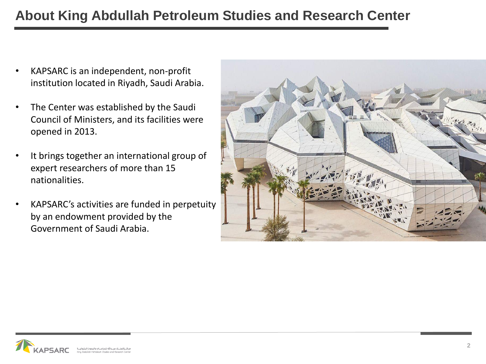### **About King Abdullah Petroleum Studies and Research Center**

- KAPSARC is an independent, non-profit institution located in Riyadh, Saudi Arabia.
- The Center was established by the Saudi Council of Ministers, and its facilities were opened in 2013.
- It brings together an international group of expert researchers of more than 15 nationalities.
- KAPSARC's activities are funded in perpetuity by an endowment provided by the Government of Saudi Arabia.



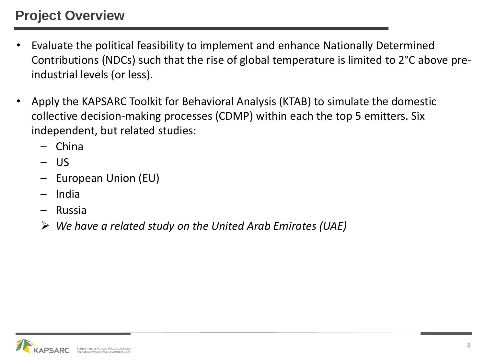### **Project Overview**

- Evaluate the political feasibility to implement and enhance Nationally Determined Contributions (NDCs) such that the rise of global temperature is limited to 2°C above preindustrial levels (or less).
- Apply the KAPSARC Toolkit for Behavioral Analysis (KTAB) to simulate the domestic collective decision-making processes (CDMP) within each the top 5 emitters. Six independent, but related studies:
	- China
	- US
	- European Union (EU)
	- India
	- Russia
	- ➢ *We have a related study on the United Arab Emirates (UAE)*

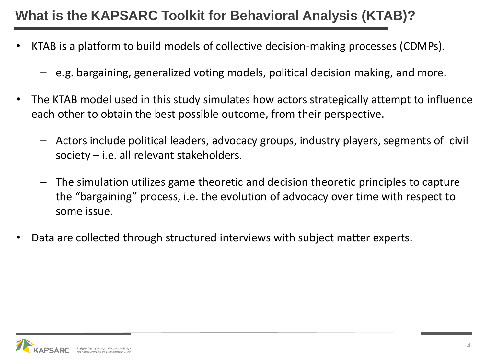### **What is the KAPSARC Toolkit for Behavioral Analysis (KTAB)?**

- KTAB is a platform to build models of collective decision-making processes (CDMPs).
	- e.g. bargaining, generalized voting models, political decision making, and more.
- The KTAB model used in this study simulates how actors strategically attempt to influence each other to obtain the best possible outcome, from their perspective.
	- Actors include political leaders, advocacy groups, industry players, segments of civil society – i.e. all relevant stakeholders.
	- The simulation utilizes game theoretic and decision theoretic principles to capture the "bargaining" process, i.e. the evolution of advocacy over time with respect to some issue.
- Data are collected through structured interviews with subject matter experts.

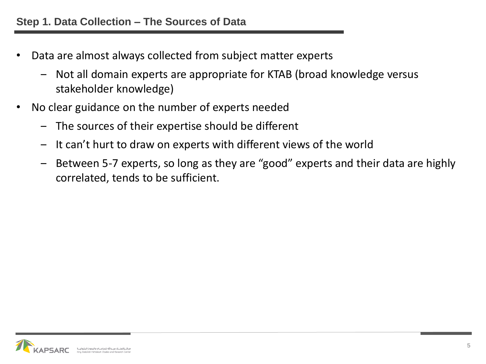- Data are almost always collected from subject matter experts
	- ‒ Not all domain experts are appropriate for KTAB (broad knowledge versus stakeholder knowledge)
- No clear guidance on the number of experts needed
	- ‒ The sources of their expertise should be different
	- ‒ It can't hurt to draw on experts with different views of the world
	- ‒ Between 5-7 experts, so long as they are "good" experts and their data are highly correlated, tends to be sufficient.

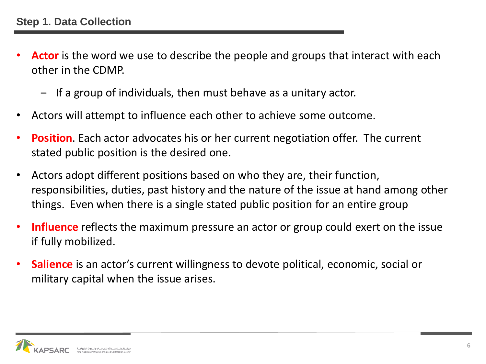- **Actor** is the word we use to describe the people and groups that interact with each other in the CDMP.
	- ‒ If a group of individuals, then must behave as a unitary actor.
- Actors will attempt to influence each other to achieve some outcome.
- **Position**. Each actor advocates his or her current negotiation offer. The current stated public position is the desired one.
- Actors adopt different positions based on who they are, their function, responsibilities, duties, past history and the nature of the issue at hand among other things. Even when there is a single stated public position for an entire group
- **Influence** reflects the maximum pressure an actor or group could exert on the issue if fully mobilized.
- **Salience** is an actor's current willingness to devote political, economic, social or military capital when the issue arises.

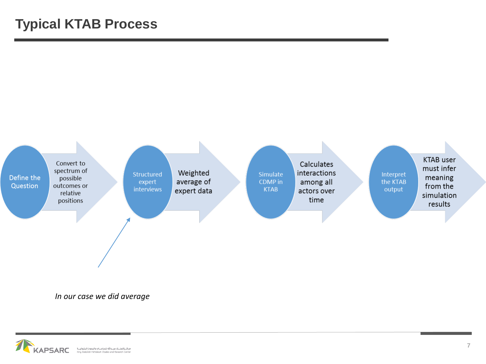

*In our case we did average*

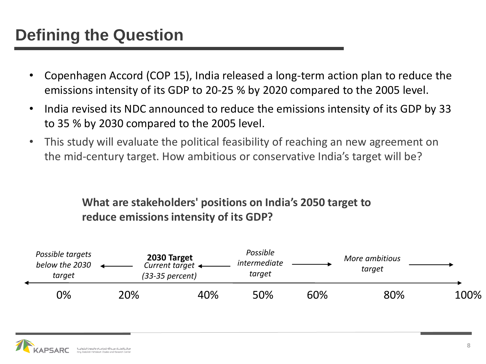## **Defining the Question**

- Copenhagen Accord (COP 15), India released a long-term action plan to reduce the emissions intensity of its GDP to 20-25 % by 2020 compared to the 2005 level.
- India revised its NDC announced to reduce the emissions intensity of its GDP by 33 to 35 % by 2030 compared to the 2005 level.
- This study will evaluate the political feasibility of reaching an new agreement on the mid-century target. How ambitious or conservative India's target will be?

#### **What are stakeholders' positions on India's 2050 target to reduce emissions intensity of its GDP?**



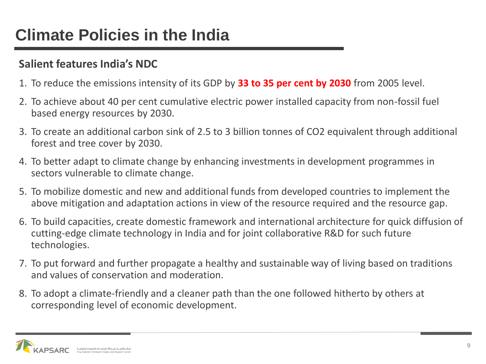## **Climate Policies in the India**

#### **Salient features India's NDC**

- 1. To reduce the emissions intensity of its GDP by **33 to 35 per cent by 2030** from 2005 level.
- 2. To achieve about 40 per cent cumulative electric power installed capacity from non-fossil fuel based energy resources by 2030.
- 3. To create an additional carbon sink of 2.5 to 3 billion tonnes of CO2 equivalent through additional forest and tree cover by 2030.
- 4. To better adapt to climate change by enhancing investments in development programmes in sectors vulnerable to climate change.
- 5. To mobilize domestic and new and additional funds from developed countries to implement the above mitigation and adaptation actions in view of the resource required and the resource gap.
- 6. To build capacities, create domestic framework and international architecture for quick diffusion of cutting-edge climate technology in India and for joint collaborative R&D for such future technologies.
- 7. To put forward and further propagate a healthy and sustainable way of living based on traditions and values of conservation and moderation.
- 8. To adopt a climate-friendly and a cleaner path than the one followed hitherto by others at corresponding level of economic development.

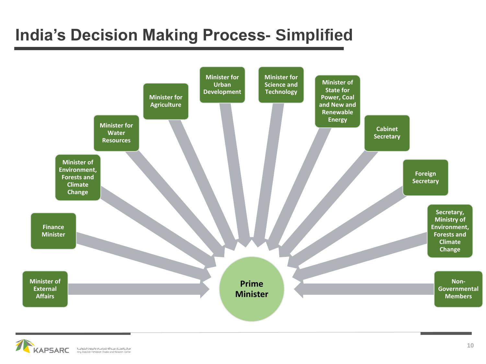## **India's Decision Making Process- Simplified**



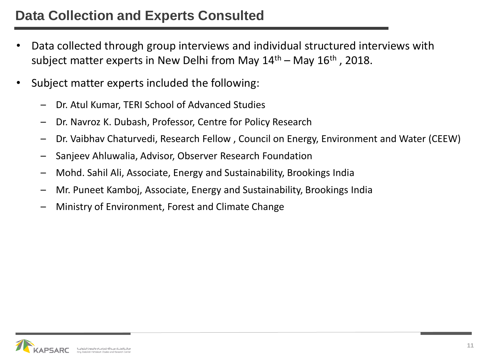- Data collected through group interviews and individual structured interviews with subject matter experts in New Delhi from May  $14<sup>th</sup>$  – May  $16<sup>th</sup>$ , 2018.
- Subject matter experts included the following:
	- Dr. Atul Kumar, TERI School of Advanced Studies
	- Dr. Navroz K. Dubash, Professor, Centre for Policy Research
	- Dr. Vaibhav Chaturvedi, Research Fellow , Council on Energy, Environment and Water (CEEW)
	- Sanjeev Ahluwalia, Advisor, Observer Research Foundation
	- Mohd. Sahil Ali, Associate, Energy and Sustainability, Brookings India
	- Mr. Puneet Kamboj, Associate, Energy and Sustainability, Brookings India
	- Ministry of Environment, Forest and Climate Change

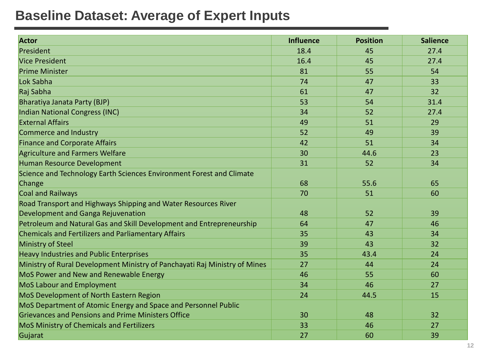#### **Baseline Dataset: Average of Expert Inputs**

| <b>Actor</b>                                                               | <b>Influence</b> | <b>Position</b> | <b>Salience</b> |
|----------------------------------------------------------------------------|------------------|-----------------|-----------------|
| President                                                                  | 18.4             | 45              | 27.4            |
| <b>Vice President</b>                                                      | 16.4             | 45              | 27.4            |
| <b>Prime Minister</b>                                                      | 81               | 55              | 54              |
| Lok Sabha                                                                  | 74               | 47              | 33              |
| Raj Sabha                                                                  | 61               | 47              | 32              |
| <b>Bharatiya Janata Party (BJP)</b>                                        | 53               | 54              | 31.4            |
| Indian National Congress (INC)                                             | 34               | 52              | 27.4            |
| <b>External Affairs</b>                                                    | 49               | 51              | 29              |
| Commerce and Industry                                                      | 52               | 49              | 39              |
| <b>Finance and Corporate Affairs</b>                                       | 42               | 51              | 34              |
| <b>Agriculture and Farmers Welfare</b>                                     | 30               | 44.6            | 23              |
| Human Resource Development                                                 | 31               | 52              | 34              |
| Science and Technology Earth Sciences Environment Forest and Climate       |                  |                 |                 |
| Change                                                                     | 68               | 55.6            | 65              |
| <b>Coal and Railways</b>                                                   | 70               | 51              | 60              |
| Road Transport and Highways Shipping and Water Resources River             |                  |                 |                 |
| Development and Ganga Rejuvenation                                         | 48               | 52              | 39              |
| Petroleum and Natural Gas and Skill Development and Entrepreneurship       | 64               | 47              | 46              |
| <b>Chemicals and Fertilizers and Parliamentary Affairs</b>                 | 35               | 43              | 34              |
| <b>Ministry of Steel</b>                                                   | 39               | 43              | 32              |
| <b>Heavy Industries and Public Enterprises</b>                             | 35               | 43.4            | 24              |
| Ministry of Rural Development Ministry of Panchayati Raj Ministry of Mines | 27               | 44              | 24              |
| MoS Power and New and Renewable Energy                                     | 46               | 55              | 60              |
| <b>MoS Labour and Employment</b>                                           | 34               | 46              | 27              |
| MoS Development of North Eastern Region                                    | 24               | 44.5            | 15              |
| MoS Department of Atomic Energy and Space and Personnel Public             |                  |                 |                 |
| <b>Grievances and Pensions and Prime Ministers Office</b>                  | 30               | 48              | 32              |
| MoS Ministry of Chemicals and Fertilizers                                  | 33               | 46              | 27              |
| Gujarat                                                                    | 27               | 60              | 39              |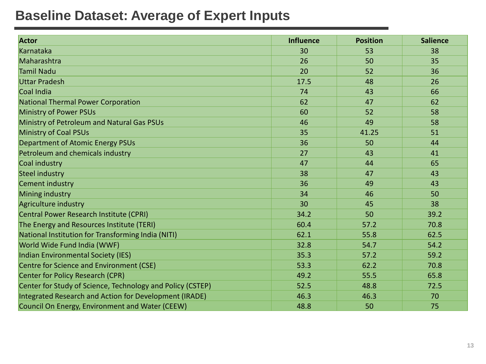#### **Baseline Dataset: Average of Expert Inputs**

| <b>Actor</b>                                               | <b>Influence</b> | <b>Position</b> | <b>Salience</b> |
|------------------------------------------------------------|------------------|-----------------|-----------------|
| Karnataka                                                  | 30               | 53              | 38              |
| Maharashtra                                                | 26               | 50              | 35              |
| <b>Tamil Nadu</b>                                          | 20               | 52              | 36              |
| <b>Uttar Pradesh</b>                                       | 17.5             | 48              | 26              |
| Coal India                                                 | 74               | 43              | 66              |
| <b>National Thermal Power Corporation</b>                  | 62               | 47              | 62              |
| <b>Ministry of Power PSUs</b>                              | 60               | 52              | 58              |
| Ministry of Petroleum and Natural Gas PSUs                 | 46               | 49              | 58              |
| <b>Ministry of Coal PSUs</b>                               | 35               | 41.25           | 51              |
| <b>Department of Atomic Energy PSUs</b>                    | 36               | 50              | 44              |
| Petroleum and chemicals industry                           | 27               | 43              | 41              |
| Coal industry                                              | 47               | 44              | 65              |
| <b>Steel industry</b>                                      | 38               | 47              | 43              |
| <b>Cement industry</b>                                     | 36               | 49              | 43              |
| Mining industry                                            | 34               | 46              | 50              |
| Agriculture industry                                       | 30               | 45              | 38              |
| Central Power Research Institute (CPRI)                    | 34.2             | 50              | 39.2            |
| The Energy and Resources Institute (TERI)                  | 60.4             | 57.2            | 70.8            |
| National Institution for Transforming India (NITI)         | 62.1             | 55.8            | 62.5            |
| World Wide Fund India (WWF)                                | 32.8             | 54.7            | 54.2            |
| <b>Indian Environmental Society (IES)</b>                  | 35.3             | 57.2            | 59.2            |
| Centre for Science and Environment (CSE)                   | 53.3             | 62.2            | 70.8            |
| <b>Center for Policy Research (CPR)</b>                    | 49.2             | 55.5            | 65.8            |
| Center for Study of Science, Technology and Policy (CSTEP) | 52.5             | 48.8            | 72.5            |
| Integrated Research and Action for Development (IRADE)     | 46.3             | 46.3            | 70              |
| Council On Energy, Environment and Water (CEEW)            | 48.8             | 50              | 75              |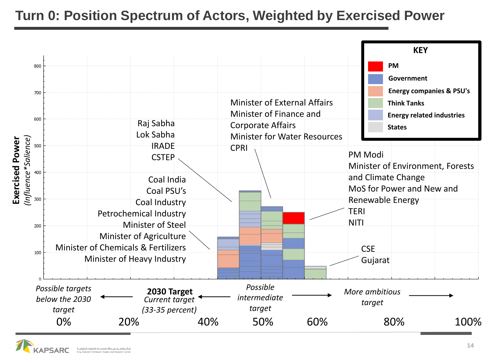### **Turn 0: Position Spectrum of Actors, Weighted by Exercised Power**



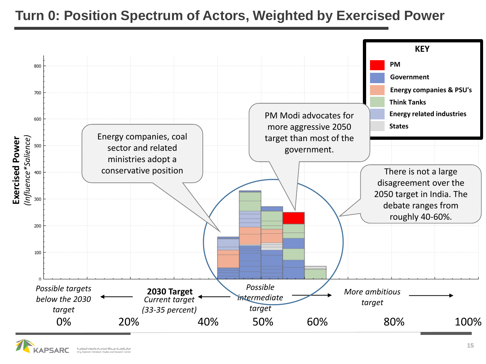#### **Turn 0: Position Spectrum of Actors, Weighted by Exercised Power**



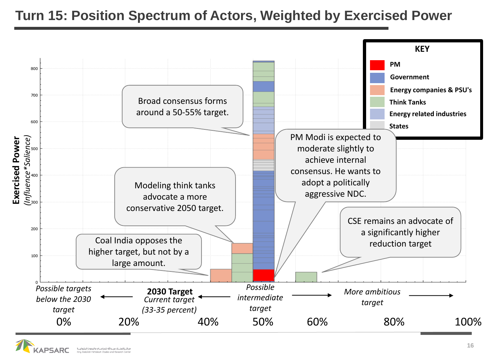#### **Turn 15: Position Spectrum of Actors, Weighted by Exercised Power**



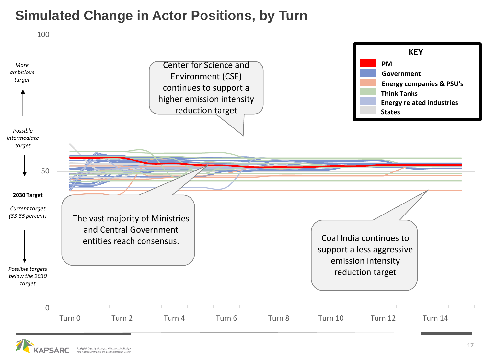#### **Simulated Change in Actor Positions, by Turn**



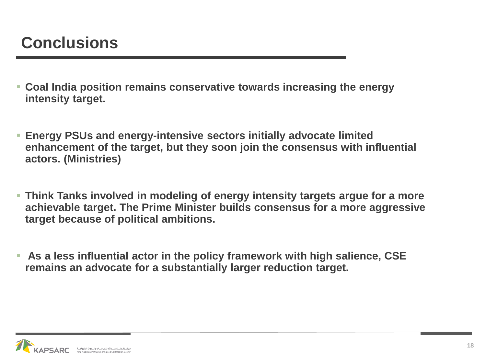- **Coal India position remains conservative towards increasing the energy intensity target.**
- **Energy PSUs and energy-intensive sectors initially advocate limited enhancement of the target, but they soon join the consensus with influential actors. (Ministries)**
- **EXTE Think Tanks involved in modeling of energy intensity targets argue for a more achievable target. The Prime Minister builds consensus for a more aggressive target because of political ambitions.**
- **As a less influential actor in the policy framework with high salience, CSE remains an advocate for a substantially larger reduction target.**

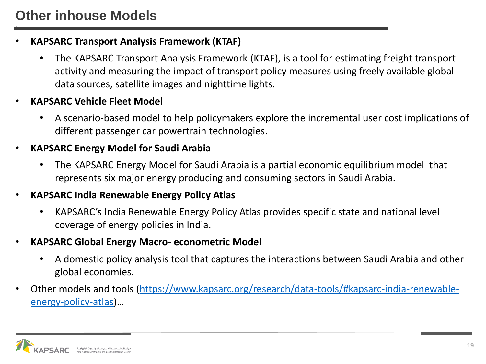#### • **KAPSARC Transport Analysis Framework (KTAF)**

- The KAPSARC Transport Analysis Framework (KTAF), is a tool for estimating freight transport activity and measuring the impact of transport policy measures using freely available global data sources, satellite images and nighttime lights.
- **KAPSARC Vehicle Fleet Model**
	- A scenario-based model to help policymakers explore the incremental user cost implications of different passenger car powertrain technologies.
- **KAPSARC Energy Model for Saudi Arabia**
	- The KAPSARC Energy Model for Saudi Arabia is a partial economic equilibrium model that represents six major energy producing and consuming sectors in Saudi Arabia.
- **KAPSARC India Renewable Energy Policy Atlas**
	- KAPSARC's India Renewable Energy Policy Atlas provides specific state and national level coverage of energy policies in India.
- **KAPSARC Global Energy Macro- econometric Model**
	- A domestic policy analysis tool that captures the interactions between Saudi Arabia and other global economies.
- [Other models and tools \(https://www.kapsarc.org/research/data-tools/#kapsarc-india-renewable](https://www.kapsarc.org/research/data-tools/#kapsarc-india-renewable-energy-policy-atlas)energy-policy-atlas)…